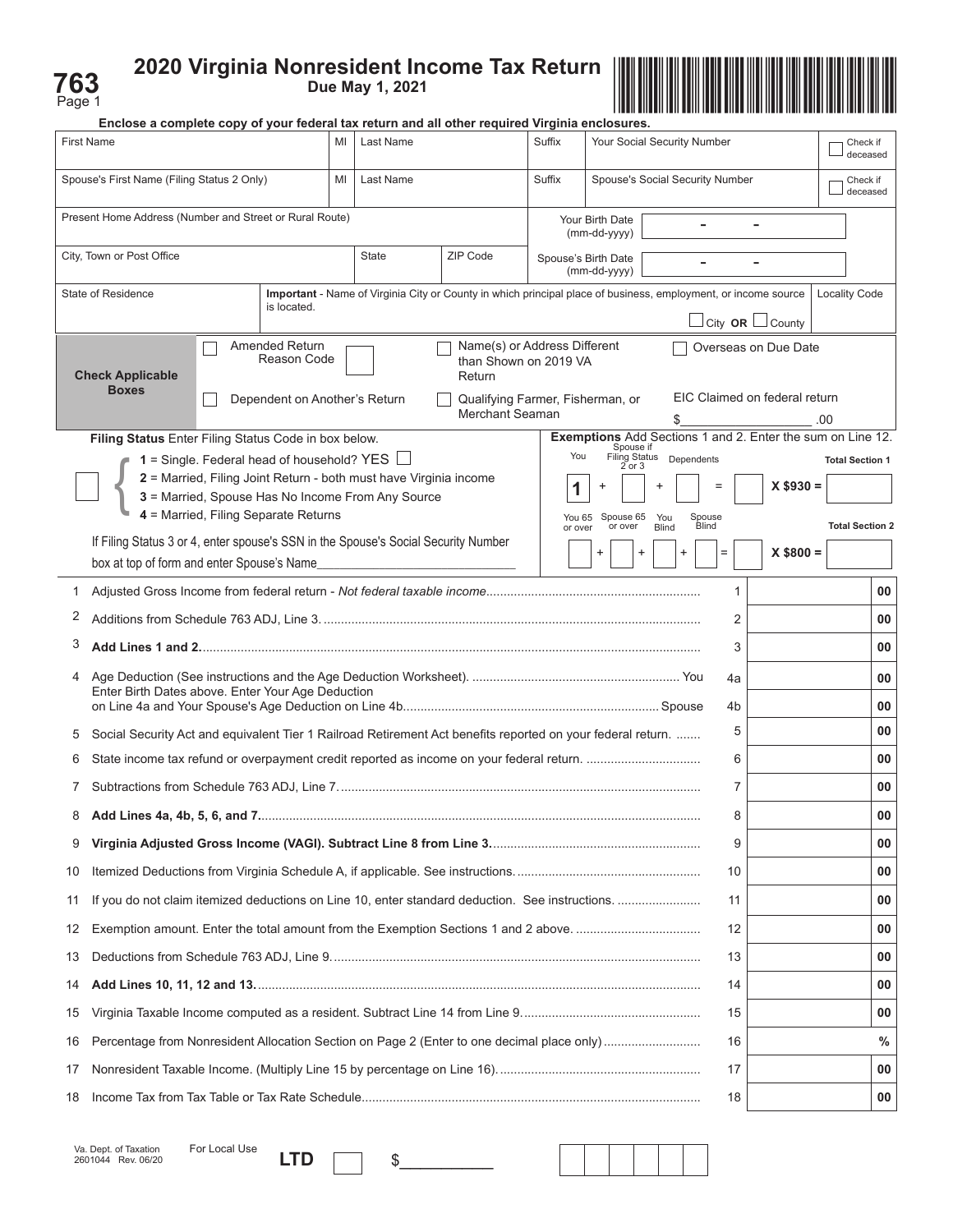| e<br>∍<br>O |  |
|-------------|--|



|                   | Enclose a complete copy of your federal tax return and all other required Virginia enclosures.                         |    |              |                                                                                                                |         |                                     |                                 |                        |                                                            |               |                        |
|-------------------|------------------------------------------------------------------------------------------------------------------------|----|--------------|----------------------------------------------------------------------------------------------------------------|---------|-------------------------------------|---------------------------------|------------------------|------------------------------------------------------------|---------------|------------------------|
| <b>First Name</b> | MI<br>Last Name<br>Suffix<br>Your Social Security Number                                                               |    |              |                                                                                                                |         |                                     |                                 | Check if<br>deceased   |                                                            |               |                        |
|                   | Spouse's First Name (Filing Status 2 Only)                                                                             | MI | Last Name    |                                                                                                                | Suffix  |                                     | Spouse's Social Security Number |                        |                                                            |               | Check if<br>deceased   |
|                   | Present Home Address (Number and Street or Rural Route)                                                                |    |              |                                                                                                                |         | Your Birth Date<br>(mm-dd-yyyy)     |                                 |                        |                                                            |               |                        |
|                   | City, Town or Post Office                                                                                              |    | <b>State</b> | ZIP Code                                                                                                       |         | Spouse's Birth Date<br>(mm-dd-yyyy) |                                 |                        |                                                            |               |                        |
|                   | State of Residence<br>is located.                                                                                      |    |              | Important - Name of Virginia City or County in which principal place of business, employment, or income source |         |                                     |                                 |                        |                                                            | Locality Code |                        |
|                   |                                                                                                                        |    |              |                                                                                                                |         |                                     |                                 |                        | $\Box$ City OR $\Box$ County                               |               |                        |
|                   | <b>Amended Return</b><br>Reason Code<br><b>Check Applicable</b><br><b>Boxes</b>                                        |    |              | Name(s) or Address Different<br>than Shown on 2019 VA<br>Return                                                |         |                                     |                                 |                        | Overseas on Due Date<br>EIC Claimed on federal return      |               |                        |
|                   | Dependent on Another's Return                                                                                          |    |              | Qualifying Farmer, Fisherman, or<br>Merchant Seaman                                                            |         |                                     |                                 |                        |                                                            | .00           |                        |
|                   | Filing Status Enter Filing Status Code in box below.                                                                   |    |              |                                                                                                                |         |                                     |                                 |                        | Exemptions Add Sections 1 and 2. Enter the sum on Line 12. |               |                        |
|                   | 1 = Single. Federal head of household? YES $\Box$                                                                      |    |              |                                                                                                                | You     | Spouse if                           | Filing Status Dependents        |                        |                                                            |               | <b>Total Section 1</b> |
|                   | 2 = Married, Filing Joint Return - both must have Virginia income<br>3 = Married, Spouse Has No Income From Any Source |    |              |                                                                                                                |         | $2$ or $3$                          |                                 |                        | $X$ \$930 =                                                |               |                        |
|                   | 4 = Married, Filing Separate Returns                                                                                   |    |              |                                                                                                                |         | You 65 Spouse 65<br>or over         | You                             | Spouse<br><b>Blind</b> |                                                            |               | <b>Total Section 2</b> |
|                   | If Filing Status 3 or 4, enter spouse's SSN in the Spouse's Social Security Number                                     |    |              |                                                                                                                | or over | $\ddot{}$                           | <b>Blind</b><br>+               |                        | $X$ \$800 =                                                |               |                        |
|                   | box at top of form and enter Spouse's Name                                                                             |    |              |                                                                                                                |         |                                     |                                 |                        |                                                            |               |                        |
| 1                 |                                                                                                                        |    |              |                                                                                                                |         |                                     |                                 | $\mathbf{1}$           |                                                            |               | 00                     |
| 2                 |                                                                                                                        |    |              |                                                                                                                |         |                                     |                                 | 2                      |                                                            |               | 00                     |
| 3                 |                                                                                                                        |    |              |                                                                                                                |         |                                     |                                 | 3                      |                                                            |               | 00                     |
| 4                 | Enter Birth Dates above. Enter Your Age Deduction                                                                      |    |              |                                                                                                                |         |                                     |                                 | 4a                     |                                                            |               | 00                     |
|                   |                                                                                                                        |    |              |                                                                                                                |         |                                     |                                 | 4b                     |                                                            |               | 00                     |
| 5                 | Social Security Act and equivalent Tier 1 Railroad Retirement Act benefits reported on your federal return.            |    |              |                                                                                                                |         |                                     |                                 | 5                      |                                                            |               | 00                     |
| 6                 |                                                                                                                        |    |              |                                                                                                                |         |                                     |                                 | 6                      |                                                            |               | 00                     |
|                   |                                                                                                                        |    |              |                                                                                                                |         |                                     |                                 | 7                      |                                                            |               | 00                     |
|                   |                                                                                                                        |    |              |                                                                                                                |         |                                     |                                 | 8                      |                                                            |               | 00                     |
| 9                 |                                                                                                                        |    |              |                                                                                                                |         |                                     |                                 | 9                      |                                                            |               | 00                     |
| 10                |                                                                                                                        |    |              |                                                                                                                |         |                                     |                                 | 10                     |                                                            |               | 00                     |
| 11                | If you do not claim itemized deductions on Line 10, enter standard deduction. See instructions.                        |    |              |                                                                                                                |         |                                     |                                 | 11                     |                                                            |               | 00                     |
| 12                | Exemption amount. Enter the total amount from the Exemption Sections 1 and 2 above.                                    |    |              |                                                                                                                |         |                                     |                                 | 12                     |                                                            |               | 00                     |
| 13                |                                                                                                                        |    |              |                                                                                                                |         |                                     |                                 | 13                     |                                                            |               | 00                     |
| 14                |                                                                                                                        |    |              |                                                                                                                |         |                                     |                                 | 14                     |                                                            |               | 00                     |
| 15                |                                                                                                                        |    |              |                                                                                                                |         |                                     |                                 | 15                     |                                                            |               | 00                     |
| 16                | Percentage from Nonresident Allocation Section on Page 2 (Enter to one decimal place only)                             |    |              |                                                                                                                |         |                                     |                                 | 16                     |                                                            |               | $\frac{0}{0}$          |
| 17                |                                                                                                                        |    |              |                                                                                                                |         |                                     |                                 | 17                     |                                                            |               | 00                     |
| 18                |                                                                                                                        |    |              |                                                                                                                |         |                                     |                                 | 18                     |                                                            |               | 00                     |

| For Local Use |  |     |
|---------------|--|-----|
|               |  | - 7 |